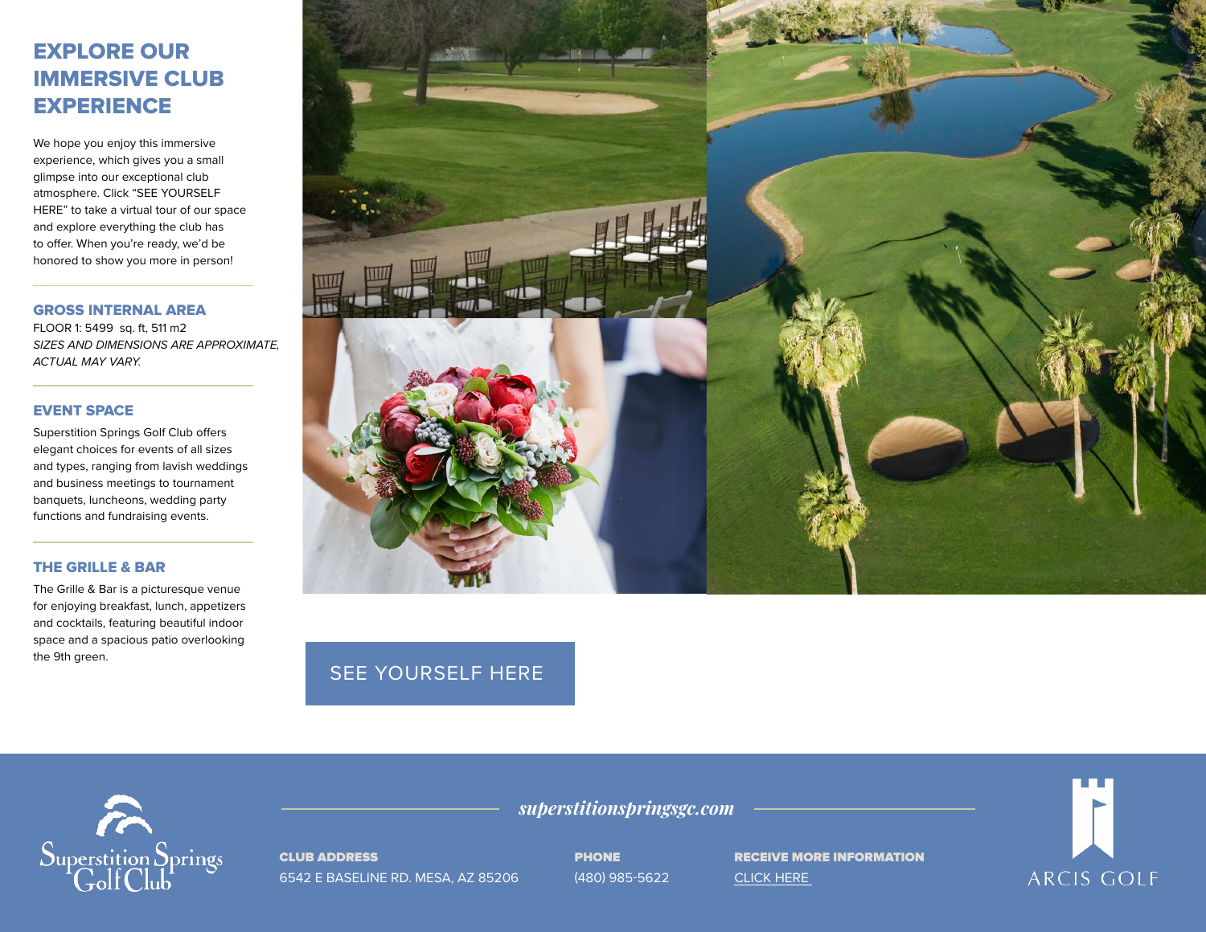# EXPLORE OUR IMMERSIVE CLUB **EXPERIENCE**

We hope you enjoy this immersive experience, which gives you a small glimpse into our exceptional club atmosphere. Click "SEE YOURSELF HERE" to take a virtual tour of our space and explore everything the club has to offer. When you're ready, we'd be honored to show you more in person!

GROSS INTERNAL AREA

FLOOR 1: 5499 sq. ft, 511 m2 *SIZES AND DIMENSIONS ARE APPROXIMATE, ACTUAL MAY VARY.*

#### EVENT SPACE

Superstition Springs Golf Club offers elegant choices for events of all sizes and types, ranging from lavish weddings and business meetings to tournament banquets, luncheons, wedding party functions and fundraising events.

### THE GRILLE & BAR

The Grille & Bar is a picturesque venue for enjoying breakfast, lunch, appetizers and cocktails, featuring beautiful indoor space and a spacious patio overlooking the 9th green.



## [SEE YOURSELF HERE](https://visitingmedia.com/tt8/?ttid=superstition-springs-golf-club#/3d-model)



CLUB ADDRESS 6542 E BASELINE RD. MESA, AZ 85206 PHONE (480) 985-5622

*superstitionspringsgc.com*

RECEIVE MORE INFORMATION [CLICK HERE](https://www.superstitionspringsgc.com/private-events-vm) 

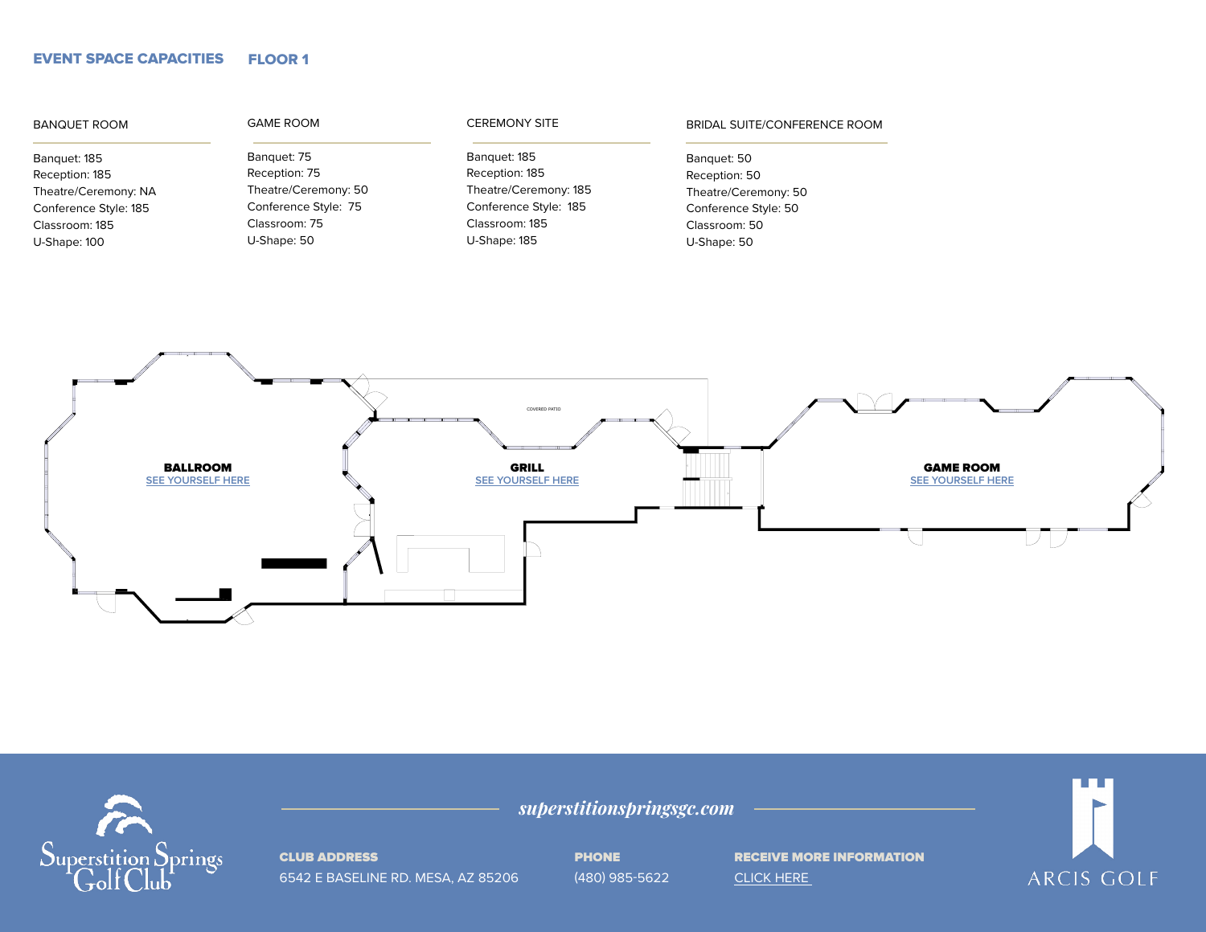#### EVENT SPACE CAPACITIES FLOOR 1

| <b>BANQUET ROOM</b>   | <b>GAME ROOM</b>     | <b>CEREMONY SITE</b>  | BRIDAL SUITE/CONFERENCE ROOM |  |
|-----------------------|----------------------|-----------------------|------------------------------|--|
| Banquet: 185          | Banquet: 75          | Banquet: 185          | Banquet: 50                  |  |
| Reception: 185        | Reception: 75        | Reception: 185        | Reception: 50                |  |
| Theatre/Ceremony: NA  | Theatre/Ceremony: 50 | Theatre/Ceremony: 185 | Theatre/Ceremony: 50         |  |
| Conference Style: 185 | Conference Style: 75 | Conference Style: 185 | Conference Style: 50         |  |
| Classroom: 185        | Classroom: 75        | Classroom: 185        | Classroom: 50                |  |
| U-Shape: 100          | U-Shape: 50          | U-Shape: 185          | U-Shape: 50                  |  |
|                       |                      |                       |                              |  |
|                       |                      |                       |                              |  |
|                       |                      |                       |                              |  |
|                       |                      |                       |                              |  |



*superstitionspringsgc.com*



CLUB ADDRESS

6542 E BASELINE RD. MESA, AZ 85206 PHONE سىسىسى<br>480) 985-5622

RECEIVE MORE INFORMATION [CLICK HERE](https://www.superstitionspringsgc.com/private-events-vm) 

**TITLE** ARCIS GOLF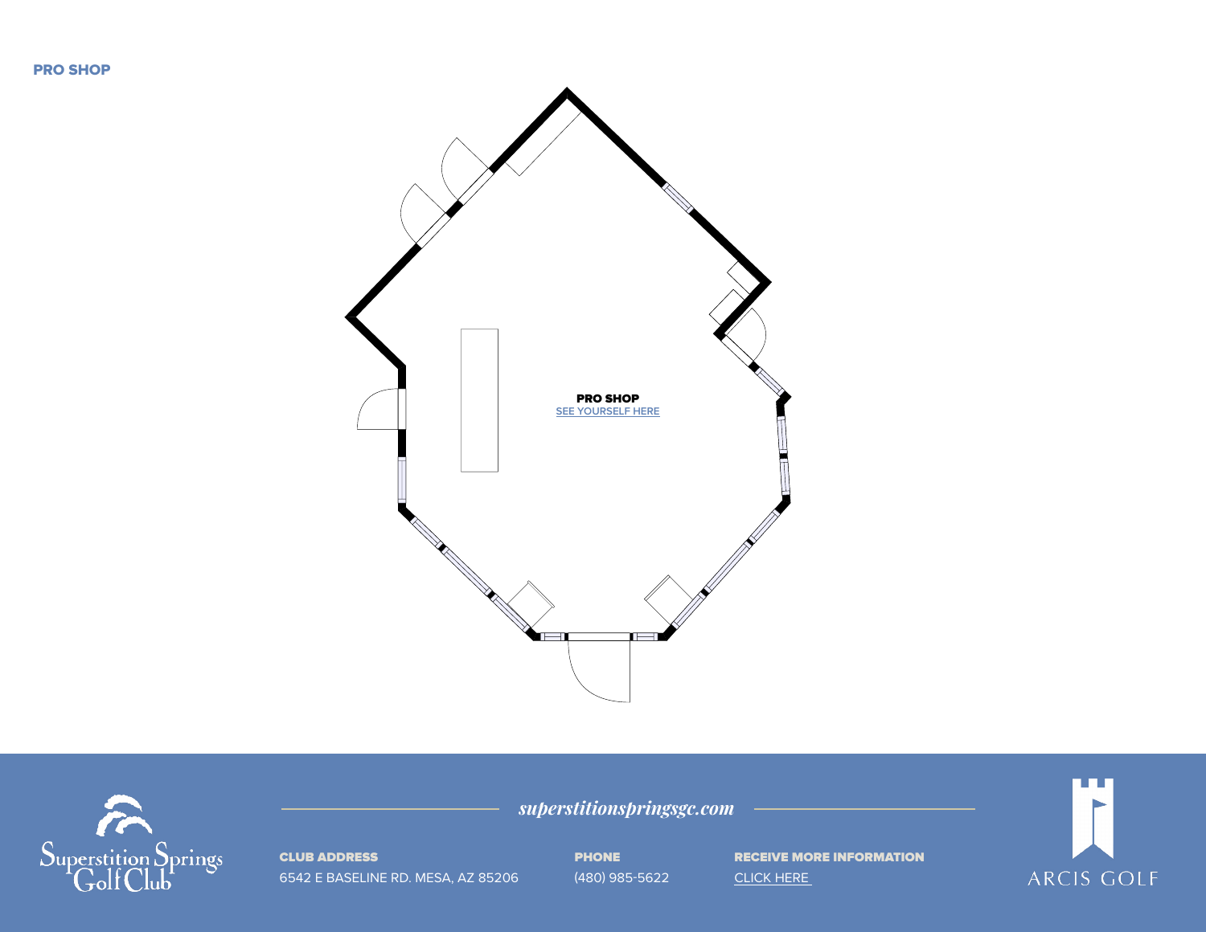PRO SHOP





CLUB ADDRESS 6542 E BASELINE RD. MESA, AZ 85206 PHONE (480) 985-5622

*superstitionspringsgc.com* SIZES AND DIMENSIONS ARE APPROXIMATE, ACTUAL MAY VARY. TOTAL: 584 sq. ft,54 m2

RECEIVE MORE INFORMATION [CLICK HERE](https://www.superstitionspringsgc.com/private-events-vm)